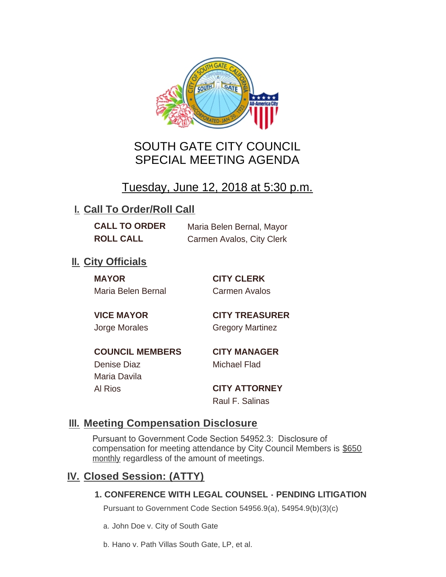

# SOUTH GATE CITY COUNCIL SPECIAL MEETING AGENDA

# Tuesday, June 12, 2018 at 5:30 p.m.

## **I. Call To Order/Roll Call**

**CALL TO ORDER** Maria Belen Bernal, Mayor **ROLL CALL** Carmen Avalos, City Clerk

## **II.** City Officials

**MAYOR CITY CLERK** Maria Belen Bernal Carmen Avalos

Maria Davila

**VICE MAYOR CITY TREASURER** Jorge Morales Gregory Martinez

**COUNCIL MEMBERS CITY MANAGER** Denise Diaz Michael Flad

Al Rios **CITY ATTORNEY**

Raul F. Salinas

# **Meeting Compensation Disclosure III.**

Pursuant to Government Code Section 54952.3: Disclosure of compensation for meeting attendance by City Council Members is \$650 monthly regardless of the amount of meetings.

## **Closed Session: (ATTY) IV.**

### **1. CONFERENCE WITH LEGAL COUNSEL - PENDING LITIGATION**

Pursuant to Government Code Section 54956.9(a), 54954.9(b)(3)(c)

a. John Doe v. City of South Gate

b. Hano v. Path Villas South Gate, LP, et al.